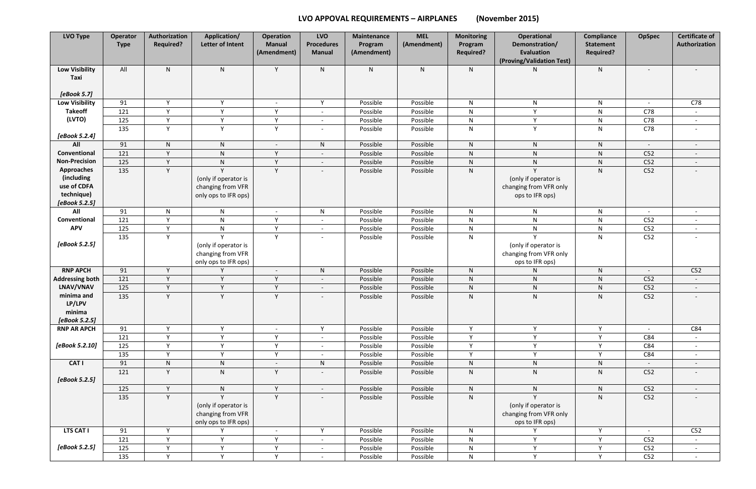## **LVO APPOVAL REQUIREMENTS – AIRPLANES (November 2015)**

| <b>LVO Type</b>               | Operator<br><b>Type</b> | Authorization<br><b>Required?</b> | Application/<br>Letter of Intent                                  | <b>Operation</b><br><b>Manual</b><br>(Amendment) | <b>LVO</b><br><b>Procedures</b><br><b>Manual</b> | <b>Maintenance</b><br>Program<br>(Amendment) | <b>MEL</b><br>(Amendment) | <b>Monitoring</b><br>Program<br><b>Required?</b> | <b>Operational</b><br>Demonstration/<br><b>Evaluation</b>         | <b>Compliance</b><br><b>Statement</b><br><b>Required?</b> | <b>OpSpec</b>            | <b>Certificate of</b><br>Authorization |
|-------------------------------|-------------------------|-----------------------------------|-------------------------------------------------------------------|--------------------------------------------------|--------------------------------------------------|----------------------------------------------|---------------------------|--------------------------------------------------|-------------------------------------------------------------------|-----------------------------------------------------------|--------------------------|----------------------------------------|
|                               |                         |                                   |                                                                   |                                                  |                                                  |                                              |                           |                                                  | (Proving/Validation Test)                                         |                                                           |                          |                                        |
| <b>Low Visibility</b><br>Taxi | All                     | $\mathsf{N}$                      | ${\sf N}$                                                         | Y                                                | ${\sf N}$                                        | $\mathsf{N}$                                 | $\mathsf{N}$              | N                                                | N                                                                 | ${\sf N}$                                                 |                          |                                        |
| [eBook 5.7]                   |                         |                                   |                                                                   |                                                  |                                                  |                                              |                           |                                                  |                                                                   |                                                           |                          |                                        |
| <b>Low Visibility</b>         | 91                      | Y                                 | Y                                                                 | $\overline{\phantom{a}}$                         | Y                                                | Possible                                     | Possible                  | $\mathsf{N}$                                     | ${\sf N}$                                                         | ${\sf N}$                                                 | $\sim$                   | C78                                    |
| <b>Takeoff</b><br>(LVTO)      | 121                     | Y                                 | Y                                                                 | Y                                                | $\overline{\phantom{a}}$                         | Possible                                     | Possible                  | ${\sf N}$                                        | Y                                                                 | ${\sf N}$                                                 | C78                      | $\overline{\phantom{a}}$               |
|                               | 125                     | Y<br>Y                            | Y                                                                 | Y                                                | $\overline{a}$                                   | Possible                                     | Possible                  | N                                                | Y                                                                 | N                                                         | C78                      | $\sim$                                 |
| [eBook 5.2.4]                 | 135                     |                                   | Y                                                                 | Y                                                | $\overline{\phantom{0}}$                         | Possible                                     | Possible                  | $\mathsf{N}$                                     | Y                                                                 | ${\sf N}$                                                 | C78                      | $\overline{\phantom{a}}$               |
| All                           | 91                      | $\mathsf{N}$                      | $\mathsf{N}$                                                      | $\overline{\phantom{a}}$                         | $\mathsf{N}$                                     | Possible                                     | Possible                  | $\mathsf{N}$                                     | $\mathsf{N}$                                                      | ${\sf N}$                                                 | $\overline{\phantom{a}}$ | $\overline{\phantom{a}}$               |
| Conventional                  | 121                     | Y                                 | ${\sf N}$                                                         | Y                                                | $\overline{\phantom{a}}$                         | Possible                                     | Possible                  | N                                                | ${\sf N}$                                                         | $\mathsf{N}$                                              | C52                      | $\overline{\phantom{a}}$               |
| <b>Non-Precision</b>          | 125                     | Y                                 | ${\sf N}$                                                         | Y                                                | $\overline{\phantom{a}}$                         | Possible                                     | Possible                  | ${\sf N}$                                        | ${\sf N}$                                                         | $\mathsf{N}$                                              | C52                      | $\overline{\phantom{a}}$               |
| <b>Approaches</b>             | 135                     | Y                                 | $\mathsf{Y}$                                                      | Y                                                | $\overline{\phantom{a}}$                         | Possible                                     | Possible                  | $\mathsf{N}$                                     | $\mathsf{Y}$                                                      | ${\sf N}$                                                 | C52                      |                                        |
| (including                    |                         |                                   | (only if operator is                                              |                                                  |                                                  |                                              |                           |                                                  | (only if operator is                                              |                                                           |                          |                                        |
| use of CDFA                   |                         |                                   | changing from VFR                                                 |                                                  |                                                  |                                              |                           |                                                  | changing from VFR only                                            |                                                           |                          |                                        |
| technique)                    |                         |                                   | only ops to IFR ops)                                              |                                                  |                                                  |                                              |                           |                                                  | ops to IFR ops)                                                   |                                                           |                          |                                        |
| [eBook 5.2.5]                 |                         |                                   |                                                                   |                                                  |                                                  |                                              |                           |                                                  |                                                                   |                                                           |                          |                                        |
| All                           | 91                      | $\mathsf{N}$                      | $\mathsf{N}$                                                      | $\overline{\phantom{a}}$                         | ${\sf N}$                                        | Possible                                     | Possible                  | $\mathsf{N}$                                     | $\mathsf{N}$                                                      | $\mathsf{N}$                                              | $\sim$                   | $\overline{\phantom{a}}$               |
| Conventional                  | 121                     | Y                                 | $\mathsf{N}$                                                      | Y                                                | $\sim$                                           | Possible                                     | Possible                  | $\mathsf{N}$                                     | ${\sf N}$                                                         | $\mathsf{N}$                                              | C52                      | $\overline{\phantom{a}}$               |
| <b>APV</b>                    | 125                     | Y<br>Y                            | $\mathsf{N}$<br>Y                                                 | Y<br>Y                                           | $\overline{\phantom{a}}$                         | Possible                                     | Possible                  | $\mathsf{N}$                                     | ${\sf N}$<br>$\mathsf{v}$                                         | ${\sf N}$                                                 | C52                      | $\overline{\phantom{a}}$               |
| [eBook 5.2.5]                 | 135                     |                                   | (only if operator is<br>changing from VFR<br>only ops to IFR ops) |                                                  | $\overline{\phantom{a}}$                         | Possible                                     | Possible                  | ${\sf N}$                                        | (only if operator is<br>changing from VFR only<br>ops to IFR ops) | ${\sf N}$                                                 | C52                      | $\overline{\phantom{a}}$               |
| <b>RNP APCH</b>               | 91                      | Y                                 | $\vee$                                                            | $\overline{\phantom{a}}$                         | $\mathsf{N}$                                     | Possible                                     | Possible                  | N                                                | ${\sf N}$                                                         | ${\sf N}$                                                 |                          | C52                                    |
| <b>Addressing both</b>        | 121                     | Y                                 | Y                                                                 | Y                                                | $\overline{\phantom{a}}$                         | Possible                                     | Possible                  | N                                                | ${\sf N}$                                                         | $\mathsf{N}$                                              | C52                      | $\sim$                                 |
| LNAV/VNAV                     | 125                     | Y                                 | Y                                                                 | Y                                                | $\overline{\phantom{a}}$                         | Possible                                     | Possible                  | ${\sf N}$                                        | ${\sf N}$                                                         | $\mathsf{N}$                                              | C52                      | $\overline{\phantom{a}}$               |
| minima and                    | 135                     | Y                                 | Y                                                                 | Y                                                | $\overline{\phantom{a}}$                         | Possible                                     | Possible                  | ${\sf N}$                                        | ${\sf N}$                                                         | ${\sf N}$                                                 | C52                      | $\overline{\phantom{a}}$               |
| LP/LPV                        |                         |                                   |                                                                   |                                                  |                                                  |                                              |                           |                                                  |                                                                   |                                                           |                          |                                        |
| minima                        |                         |                                   |                                                                   |                                                  |                                                  |                                              |                           |                                                  |                                                                   |                                                           |                          |                                        |
| [eBook 5.2.5]                 |                         |                                   |                                                                   |                                                  |                                                  |                                              |                           |                                                  |                                                                   |                                                           |                          |                                        |
| <b>RNP AR APCH</b>            | 91                      | Y                                 | Y                                                                 | $\sim$                                           | Y                                                | Possible                                     | Possible                  | Y                                                | Y                                                                 | Y                                                         | $\sim$                   | C84                                    |
|                               | 121                     | Y<br>Y                            | Y                                                                 | Y                                                | $\overline{\phantom{a}}$                         | Possible                                     | Possible                  | Y                                                | Y                                                                 | Y                                                         | C84                      | $\sim$                                 |
| [eBook 5.2.10]                | 125<br>135              | Y                                 | Y<br>Y                                                            | Y<br>Y                                           | $\sim$                                           | Possible                                     | Possible<br>Possible      | Y<br>Y                                           | Y<br>Y                                                            | Y<br>Y                                                    | C84<br>C84               | $\sim$                                 |
| <b>CAT I</b>                  |                         |                                   |                                                                   |                                                  | $\sim$                                           | Possible                                     |                           |                                                  |                                                                   |                                                           |                          | $\sim$                                 |
|                               | 91                      | ${\sf N}$<br>Y                    | ${\sf N}$                                                         | $\overline{\phantom{a}}$                         | N                                                | Possible                                     | Possible                  | ${\sf N}$                                        | ${\sf N}$                                                         | ${\sf N}$                                                 | $\sim$                   | $\overline{\phantom{a}}$               |
| [eBook 5.2.5]                 | 121                     |                                   | $\mathsf{N}$                                                      | Y                                                | $\overline{\phantom{a}}$                         | Possible                                     | Possible                  | N                                                | ${\sf N}$                                                         | ${\sf N}$                                                 | C52                      | $\overline{\phantom{a}}$               |
|                               | 125                     | Y                                 | N                                                                 | Y                                                | $\sim$                                           | Possible                                     | Possible                  | $\mathsf{N}$                                     | ${\sf N}$                                                         | $\mathsf{N}$                                              | C52                      | $\sim$                                 |
|                               | 135                     | Y                                 |                                                                   | Y                                                | $\overline{\phantom{a}}$                         | Possible                                     | Possible                  | ${\sf N}$                                        | $\vee$                                                            | $\mathsf{N}$                                              | C52                      |                                        |
|                               |                         |                                   | (only if operator is<br>changing from VFR<br>only ops to IFR ops) |                                                  |                                                  |                                              |                           |                                                  | (only if operator is<br>changing from VFR only<br>ops to IFR ops) |                                                           |                          |                                        |
| <b>LTS CAT I</b>              | 91                      | Y                                 | Υ                                                                 | $\sim$                                           | Y                                                | Possible                                     | Possible                  | N                                                | Y                                                                 | Y                                                         | $\sim$                   | C52                                    |
|                               | 121                     | Y                                 | Y                                                                 | Y                                                | $\overline{\phantom{a}}$                         | Possible                                     | Possible                  | N                                                | Y                                                                 | Y                                                         | C52                      | $\sim$                                 |
| [eBook 5.2.5]                 | 125                     | Y                                 | Y                                                                 | Y                                                | $\sim$                                           | Possible                                     | Possible                  | N                                                | Y                                                                 | Y                                                         | C52                      | $\sim$                                 |
|                               | 135                     | Y                                 | Y                                                                 | Y                                                | $\sim$                                           | Possible                                     | Possible                  | ${\sf N}$                                        | Y                                                                 | Y                                                         | C52                      | $\sim$                                 |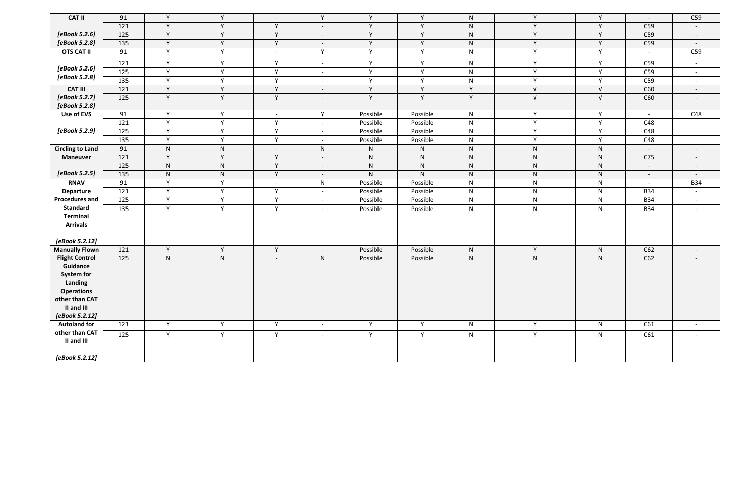| <b>CAT II</b>           | 91  | Y         | Y            | $\sim$                   | Y                        | $\mathsf{v}$ | Y            | N            | Y            | Y            | $\sim$                   | C59                      |
|-------------------------|-----|-----------|--------------|--------------------------|--------------------------|--------------|--------------|--------------|--------------|--------------|--------------------------|--------------------------|
|                         | 121 | Y         | Y            | Y                        | $\overline{\phantom{a}}$ | $\mathsf{v}$ | Y            | N            | Y            | Y            | C59                      | $\sim$                   |
| [eBook 5.2.6]           | 125 | Y         | Y            | Y                        | $\overline{\phantom{a}}$ | $\mathsf{v}$ | Y            | ${\sf N}$    | Y            | Y            | C59                      | $\sim$                   |
| [eBook 5.2.8]           | 135 | Y         | Y            | Y                        | $\overline{\phantom{a}}$ | <b>Y</b>     | Y            | N            | Y            | Y            | C59                      | $\sim$                   |
| <b>OTS CAT II</b>       | 91  | Y         | Y            | $\sim$                   | Y                        | Y            | Y            | $\mathsf{N}$ | Y            | Y            | $\sim$                   | C59                      |
|                         | 121 | Y         | Y            | Y                        | $\overline{\phantom{a}}$ | Y            | Y            | N            | Y            | Y            | C59                      | $\sim$                   |
| [eBook 5.2.6]           | 125 | Y         | Y            | Y                        | $\overline{\phantom{a}}$ | Y            | Y            | $\mathsf{N}$ | Y            | Y            | C59                      | $\overline{\phantom{a}}$ |
| [eBook 5.2.8]           | 135 | Y         | Y            | Y                        | $\overline{\phantom{a}}$ | $\mathsf{v}$ | Y            | $\mathsf{N}$ | Y            | Y            | C59                      | $\sim$                   |
| <b>CAT III</b>          | 121 | Y         | Y            | Y                        | $\overline{\phantom{a}}$ | $\mathsf{v}$ | Y            | Y.           | $\sqrt{ }$   | $\sqrt{ }$   | C60                      | $\overline{\phantom{0}}$ |
| [eBook 5.2.7]           | 125 | Y         | Y            | Y                        | $\overline{\phantom{a}}$ | Y            | Y            | Y            | $\sqrt{ }$   | $\sqrt{ }$   | C60                      |                          |
| [eBook 5.2.8]           |     |           |              |                          |                          |              |              |              |              |              |                          |                          |
| Use of EVS              | 91  | Y         | Y            | $\sim$                   | Y                        | Possible     | Possible     | N            | Y            | Y            | $\sim$                   | C48                      |
|                         | 121 | Y         | Y            | Y                        | $\overline{\phantom{a}}$ | Possible     | Possible     | $\mathsf{N}$ | Y            | $\mathsf{Y}$ | C48                      |                          |
| [eBook 5.2.9]           | 125 | Y         | Y            | Y                        | $\overline{\phantom{a}}$ | Possible     | Possible     | N            | Y            | Y            | C48                      |                          |
|                         | 135 | Y         | Y            | Y                        | $\overline{\phantom{a}}$ | Possible     | Possible     | N            | Y            | Y            | C48                      |                          |
| <b>Circling to Land</b> | 91  | N         | N            | $\sim$                   | $\mathsf{N}$             | ${\sf N}$    | $\mathsf{N}$ | N            | ${\sf N}$    | $\mathsf{N}$ | $\overline{\phantom{a}}$ | $\overline{\phantom{0}}$ |
| <b>Maneuver</b>         | 121 | Y         | Y            | Y                        | $\overline{\phantom{a}}$ | ${\sf N}$    | ${\sf N}$    | ${\sf N}$    | ${\sf N}$    | ${\sf N}$    | C <sub>75</sub>          | $\overline{\phantom{0}}$ |
|                         | 125 | ${\sf N}$ | N            | Y                        | $\overline{\phantom{a}}$ | N            | ${\sf N}$    | N            | ${\sf N}$    | N            | $\sim$                   | $\overline{\phantom{a}}$ |
| [eBook 5.2.5]           | 135 | ${\sf N}$ | $\mathsf{N}$ | Y                        | $\overline{\phantom{a}}$ | $\mathsf{N}$ | $\mathsf{N}$ | N.           | ${\sf N}$    | ${\sf N}$    | $\sim$                   | $\overline{\phantom{a}}$ |
| <b>RNAV</b>             | 91  | Y         | Y            | $\overline{\phantom{a}}$ | $\mathsf{N}$             | Possible     | Possible     | N            | $\mathsf{N}$ | $\mathsf{N}$ | $\sim$                   | <b>B34</b>               |
| <b>Departure</b>        | 121 | Y         | Y            | Y                        | $\overline{\phantom{a}}$ | Possible     | Possible     | N            | N            | N            | <b>B34</b>               | $\sim$                   |
| <b>Procedures and</b>   | 125 | Y         | Y            | Y                        | $\overline{\phantom{a}}$ | Possible     | Possible     | N            | ${\sf N}$    | $\mathsf{N}$ | <b>B34</b>               | $\sim$                   |
| <b>Standard</b>         | 135 | Y         | Y            | Y                        | $\overline{\phantom{a}}$ | Possible     | Possible     | $\mathsf{N}$ | $\mathsf{N}$ | $\mathsf{N}$ | <b>B34</b>               |                          |
| <b>Terminal</b>         |     |           |              |                          |                          |              |              |              |              |              |                          |                          |
| <b>Arrivals</b>         |     |           |              |                          |                          |              |              |              |              |              |                          |                          |
| [eBook 5.2.12]          |     |           |              |                          |                          |              |              |              |              |              |                          |                          |
| <b>Manually Flown</b>   | 121 | Y         | Y            | Y                        | $\overline{\phantom{a}}$ | Possible     | Possible     | N            | Y            | ${\sf N}$    | C62                      | $\overline{\phantom{a}}$ |
| <b>Flight Control</b>   | 125 | N         | N            | $\overline{a}$           | N                        | Possible     | Possible     | N            | ${\sf N}$    | $\mathsf{N}$ | C62                      | $\overline{\phantom{0}}$ |
| Guidance                |     |           |              |                          |                          |              |              |              |              |              |                          |                          |
| <b>System for</b>       |     |           |              |                          |                          |              |              |              |              |              |                          |                          |
| Landing                 |     |           |              |                          |                          |              |              |              |              |              |                          |                          |
| <b>Operations</b>       |     |           |              |                          |                          |              |              |              |              |              |                          |                          |
| other than CAT          |     |           |              |                          |                          |              |              |              |              |              |                          |                          |
| II and III              |     |           |              |                          |                          |              |              |              |              |              |                          |                          |
| [eBook 5.2.12]          |     |           |              |                          |                          |              |              |              |              |              |                          |                          |
| <b>Autoland for</b>     | 121 | Y         | Y            | Y                        | $\overline{\phantom{a}}$ | Y            | Y            | N            | Y            | $\mathsf{N}$ | C61                      | $\sim$                   |
| other than CAT          | 125 | Y         | Y            | Y                        | $\overline{\phantom{a}}$ | Y            | Y            | $\mathsf{N}$ | Y            | $\mathsf{N}$ | C61                      |                          |
| II and III              |     |           |              |                          |                          |              |              |              |              |              |                          |                          |
|                         |     |           |              |                          |                          |              |              |              |              |              |                          |                          |
| [eBook 5.2.12]          |     |           |              |                          |                          |              |              |              |              |              |                          |                          |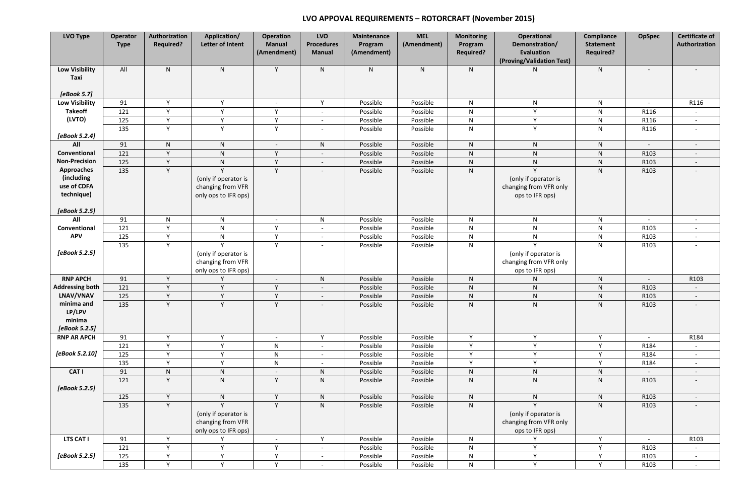## **LVO APPOVAL REQUIREMENTS – ROTORCRAFT (November 2015)**

| LVO Type                                                     | Operator<br><b>Type</b> | Authorization<br><b>Required?</b> | Application/<br>Letter of Intent                                       | <b>Operation</b><br><b>Manual</b><br>(Amendment) | <b>LVO</b><br><b>Procedures</b><br><b>Manual</b> | <b>Maintenance</b><br>Program<br>(Amendment) | <b>MEL</b><br>(Amendment) | Monitoring<br>Program<br><b>Required?</b> | <b>Operational</b><br>Demonstration/<br><b>Evaluation</b><br>(Proving/Validation Test) | Compliance<br><b>Statement</b><br><b>Required?</b> | <b>OpSpec</b>            | <b>Certificate of</b><br>Authorization |
|--------------------------------------------------------------|-------------------------|-----------------------------------|------------------------------------------------------------------------|--------------------------------------------------|--------------------------------------------------|----------------------------------------------|---------------------------|-------------------------------------------|----------------------------------------------------------------------------------------|----------------------------------------------------|--------------------------|----------------------------------------|
| <b>Low Visibility</b><br>Taxi<br>[eBook 5.7]                 | All                     | N                                 | $\mathsf{N}$                                                           | Y                                                | $\mathsf{N}$                                     | ${\sf N}$                                    | ${\sf N}$                 | N.                                        | N                                                                                      | $\mathsf{N}$                                       |                          |                                        |
| <b>Low Visibility</b>                                        | 91                      | Y                                 | Y                                                                      | $\sim$                                           | Y                                                | Possible                                     | Possible                  | N                                         | $\mathsf{N}$                                                                           | $\mathsf{N}$                                       | $\sim$                   | R116                                   |
| <b>Takeoff</b>                                               | 121                     | Y                                 | Y                                                                      | Y                                                | $\overline{a}$                                   | Possible                                     | Possible                  | $\mathsf{N}$                              | Y                                                                                      | ${\sf N}$                                          | R116                     |                                        |
| (LVTO)                                                       | 125                     | Y                                 | Y                                                                      | Y                                                | $\overline{\phantom{a}}$                         | Possible                                     | Possible                  | N                                         | Y                                                                                      | N                                                  | R116                     | $\sim$                                 |
|                                                              | 135                     | Y                                 | Y                                                                      | Y                                                | $\overline{\phantom{a}}$                         | Possible                                     | Possible                  | $\mathsf{N}$                              | Y                                                                                      | $\mathsf{N}$                                       | R116                     | $\overline{\phantom{a}}$               |
| [eBook 5.2.4]                                                |                         |                                   |                                                                        |                                                  |                                                  |                                              |                           |                                           |                                                                                        |                                                    |                          |                                        |
| All                                                          | 91                      | N                                 | $\mathsf{N}$                                                           |                                                  | ${\sf N}$                                        | Possible                                     | Possible                  | N                                         | N                                                                                      | $\mathsf{N}$                                       |                          |                                        |
| Conventional                                                 | 121                     | $\mathsf{Y}$                      | $\mathsf{N}$                                                           | $\mathsf{v}$                                     | $\overline{\phantom{a}}$                         | Possible                                     | Possible                  | N                                         | ${\sf N}$                                                                              | ${\sf N}$                                          | R103                     | $\overline{\phantom{a}}$               |
| <b>Non-Precision</b>                                         | 125                     | Y                                 | $\mathsf{N}$                                                           | <b>V</b>                                         | $\overline{\phantom{a}}$                         | Possible                                     | Possible                  | N.                                        | ${\sf N}$                                                                              | ${\sf N}$                                          | R103                     | $\overline{\phantom{a}}$               |
| <b>Approaches</b><br>(including<br>use of CDFA<br>technique) | 135                     | Y                                 | Y<br>(only if operator is<br>changing from VFR                         | Y                                                | $\qquad \qquad -$                                | Possible                                     | Possible                  | N                                         | Y<br>(only if operator is<br>changing from VFR only                                    | $\mathsf{N}$                                       | R103                     |                                        |
| [eBook 5.2.5]                                                |                         |                                   | only ops to IFR ops)                                                   |                                                  |                                                  |                                              |                           |                                           | ops to IFR ops)                                                                        |                                                    |                          |                                        |
| All                                                          | 91                      | $\mathsf{N}$                      | N                                                                      | $\overline{\phantom{a}}$                         | $\mathsf{N}$                                     | Possible                                     | Possible                  | $\mathsf{N}$                              | ${\sf N}$                                                                              | $\mathsf{N}$                                       | $\overline{\phantom{a}}$ |                                        |
| Conventional                                                 | 121                     | Y                                 | $\mathsf{N}$                                                           | Y                                                | $\overline{\phantom{a}}$                         | Possible                                     | Possible                  | $\mathsf{N}$                              | ${\sf N}$                                                                              | ${\sf N}$                                          | R103                     |                                        |
| <b>APV</b>                                                   | 125                     | Y                                 | N                                                                      | Y                                                | $\overline{\phantom{a}}$                         | Possible                                     | Possible                  | ${\sf N}$                                 | ${\sf N}$                                                                              | ${\sf N}$                                          | R103                     | $\overline{a}$                         |
| [eBook 5.2.5]                                                | 135                     | Y                                 | Y<br>(only if operator is<br>changing from VFR<br>only ops to IFR ops) | Y                                                | $\overline{\phantom{a}}$                         | Possible                                     | Possible                  | $\mathsf{N}$                              | $\mathsf{v}$<br>(only if operator is<br>changing from VFR only<br>ops to IFR ops)      | $\mathsf{N}$                                       | R103                     |                                        |
| <b>RNP APCH</b>                                              | 91                      | Y                                 | Υ                                                                      |                                                  | $\mathsf{N}$                                     | Possible                                     | Possible                  | N.                                        | $\mathsf{N}$                                                                           | N                                                  |                          | R103                                   |
| <b>Addressing both</b>                                       | 121                     | Y                                 | Y                                                                      | Y                                                | $\overline{\phantom{a}}$                         | Possible                                     | Possible                  | $\mathsf{N}$                              | ${\sf N}$                                                                              | ${\sf N}$                                          | R103                     | $\overline{\phantom{a}}$               |
| LNAV/VNAV                                                    | 125                     | Y                                 | Y                                                                      | $\vee$                                           | $\overline{\phantom{a}}$                         | Possible                                     | Possible                  | N                                         | ${\sf N}$                                                                              | ${\sf N}$                                          | R103                     | $\overline{\phantom{a}}$               |
| minima and<br>LP/LPV<br>minima<br>[eBook 5.2.5]              | 135                     | Y                                 | $\mathsf{v}$                                                           | $\vee$                                           |                                                  | Possible                                     | Possible                  | N.                                        | $\mathsf{N}$                                                                           | $\mathsf{N}$                                       | R103                     |                                        |
| <b>RNP AR APCH</b>                                           | 91                      | Y                                 | Y                                                                      | $\overline{a}$                                   | Y                                                | Possible                                     | Possible                  | Y.                                        | Y                                                                                      | Y                                                  |                          | R184                                   |
|                                                              | 121                     | Y                                 | Y                                                                      | $\mathsf{N}$                                     | $\overline{\phantom{a}}$                         | Possible                                     | Possible                  | Y                                         | Y                                                                                      | Y                                                  | R184                     | $\sim$                                 |
| [eBook 5.2.10]                                               | 125                     | Y                                 | Y                                                                      | ${\sf N}$                                        | $\overline{\phantom{a}}$                         | Possible                                     | Possible                  | Y                                         | Y                                                                                      | Y                                                  | R184                     | $\sim$                                 |
|                                                              | 135                     | Y                                 | Y                                                                      | $\mathsf{N}$                                     | $\overline{\phantom{a}}$                         | Possible                                     | Possible                  | Y.                                        | Y                                                                                      | Y                                                  | R184                     | $\overline{a}$                         |
| CAT I                                                        | 91                      | ${\sf N}$                         | ${\sf N}$                                                              | $\overline{\phantom{a}}$                         | $\mathsf{N}$                                     | Possible                                     | Possible                  | N.                                        | ${\sf N}$                                                                              | ${\sf N}$                                          |                          | $\overline{\phantom{a}}$               |
| [eBook 5.2.5]                                                | 121                     | Y                                 | ${\sf N}$                                                              | Y                                                | $\mathsf{N}$                                     | Possible                                     | Possible                  | N                                         | N                                                                                      | ${\sf N}$                                          | R103                     | $\overline{\phantom{0}}$               |
|                                                              | 125                     | Y                                 | ${\sf N}$                                                              | Y                                                | ${\sf N}$                                        | Possible                                     | Possible                  | N                                         | ${\sf N}$                                                                              | ${\sf N}$                                          | R103                     | $\overline{\phantom{a}}$               |
|                                                              | 135                     | Y                                 | Y<br>(only if operator is<br>changing from VFR<br>only ops to IFR ops) | Y                                                | $\mathsf{N}$                                     | Possible                                     | Possible                  | N                                         | Y<br>(only if operator is<br>changing from VFR only<br>ops to IFR ops)                 | N                                                  | R103                     | $\overline{\phantom{0}}$               |
| LTS CAT I                                                    | 91                      | Y                                 | Υ                                                                      | $\overline{\phantom{a}}$                         | Y                                                | Possible                                     | Possible                  | N                                         | Υ                                                                                      | Y                                                  | $\sim$                   | R103                                   |
|                                                              | 121                     | Y                                 | Y                                                                      | Y                                                | $\overline{\phantom{a}}$                         | Possible                                     | Possible                  | N                                         | Y                                                                                      | $\mathsf{v}$                                       | R103                     | $\sim$                                 |
| [eBook 5.2.5]                                                | 125                     | Y                                 | Y                                                                      | Y                                                | $\overline{\phantom{a}}$                         | Possible                                     | Possible                  | N                                         | Y                                                                                      | Y                                                  | R103                     | $\overline{\phantom{a}}$               |
|                                                              | 135                     | Y                                 | Y                                                                      | Y                                                | $\blacksquare$                                   | Possible                                     | Possible                  | N                                         | Y                                                                                      | Y                                                  | R103                     | $\overline{a}$                         |